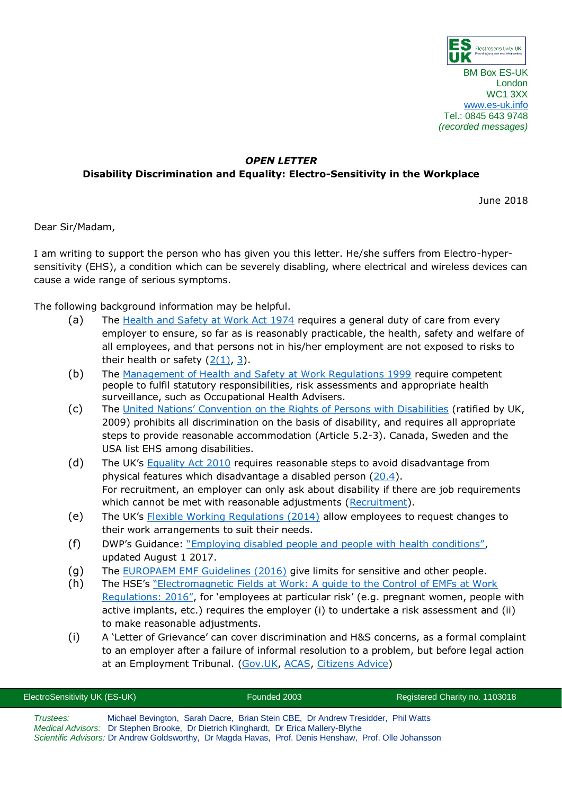

London WC1 3XX [www.es-uk.info](http://www.es-uk.info/) Tel.: 0845 643 9748 *(recorded messages)*

## *OPEN LETTER* **Disability Discrimination and Equality: Electro-Sensitivity in the Workplace**

June 2018

Dear Sir/Madam,

I am writing to support the person who has given you this letter. He/she suffers from Electro-hypersensitivity (EHS), a condition which can be severely disabling, where electrical and wireless devices can cause a wide range of serious symptoms.

The following background information may be helpful.

- (a) The [Health and Safety at Work Act 1974](http://www.legislation.gov.uk/ukpga/1974/37/contents) requires a general duty of care from every employer to ensure, so far as is reasonably practicable, the health, safety and welfare of all employees, and that persons not in his/her employment are not exposed to risks to their health or safety  $(2(1), 3)$  $(2(1), 3)$ .
- (b) The [Management of Health and Safety at Work Regulations 1999](http://www.legislation.gov.uk/uksi/1999/3242/pdfs/uksi_19993242_en.pdf) require competent people to fulfil statutory responsibilities, risk assessments and appropriate health surveillance, such as Occupational Health Advisers.
- (c) The [United Nations' Convention on the Rights of Persons with Disabilities](http://www.un.org/disabilities/documents/convention/convoptprot-e.pdf) (ratified by UK, 2009) prohibits all discrimination on the basis of disability, and requires all appropriate steps to provide reasonable accommodation (Article 5.2-3). Canada, Sweden and the USA list EHS among disabilities.
- (d) The UK's [Equality Act 2010](http://www.legislation.gov.uk/ukpga/2010/15/contents) requires reasonable steps to avoid disadvantage from physical features which disadvantage a disabled person [\(20.4\)](http://www.legislation.gov.uk/ukpga/2010/15/section/20). For recruitment, an employer can only ask about disability if there are job requirements which cannot be met with reasonable adjustments [\(Recruitment\)](https://www.gov.uk/employer-preventing-discrimination/recruitment).
- (e) The UK's [Flexible Working Regulations \(2014\)](https://www.gov.uk/flexible-working/overview) allow employees to request changes to their work arrangements to suit their needs.
- (f) DWP's Guidance: ["Employing disabled people and people with health conditions"](https://www.gov.uk/government/publications/employing-disabled-people-and-people-with-health-conditions/employing-disabled-people-and-people-with-health-conditions), updated August 1 2017.
- (g) The [EUROPAEM EMF Guidelines \(2016\)](https://www.degruyter.com/table/j/reveh.2016.31.issue-3/reveh-2016-0011/reveh-2016-0011.xml?id=j_reveh-2016-0011_tab_003) give limits for sensitive and other people.
- (h) The HSE's ["Electromagnetic Fields at Work: A guide to the Control of EMFs at Work](http://www.hse.gov.uk/pubns/priced/hsg281.pdf)  [Regulations: 2016",](http://www.hse.gov.uk/pubns/priced/hsg281.pdf) for 'employees at particular risk' (e.g. pregnant women, people with active implants, etc.) requires the employer (i) to undertake a risk assessment and (ii) to make reasonable adjustments.
- (i) A 'Letter of Grievance' can cover discrimination and H&S concerns, as a formal complaint to an employer after a failure of informal resolution to a problem, but before legal action at an Employment Tribunal. [\(Gov.UK,](https://www.gov.uk/raise-grievance-at-work) [ACAS,](http://www.acas.org.uk/index.aspx?articleid=1670) [Citizens Advice\)](https://www.citizensadvice.org.uk/work/problems-at-work/Letter-to-raise-a-grievance-at-work/)

| ElectroSensitivity UK (ES-UK)                                                               |  | Founded 2003 |                                                                                                       | Registered Charity no. 1103018 |
|---------------------------------------------------------------------------------------------|--|--------------|-------------------------------------------------------------------------------------------------------|--------------------------------|
| Trustees:                                                                                   |  |              | Michael Bevington, Sarah Dacre, Brian Stein CBE, Dr Andrew Tresidder, Phil Watts                      |                                |
| <i>Medical Advisors:</i> Dr Stephen Brooke, Dr Dietrich Klinghardt, Dr Erica Mallery-Blythe |  |              | Scientific Advisors: Dr Andrew Goldsworthy, Dr Magda Havas, Prof. Denis Henshaw, Prof. Olle Johansson |                                |